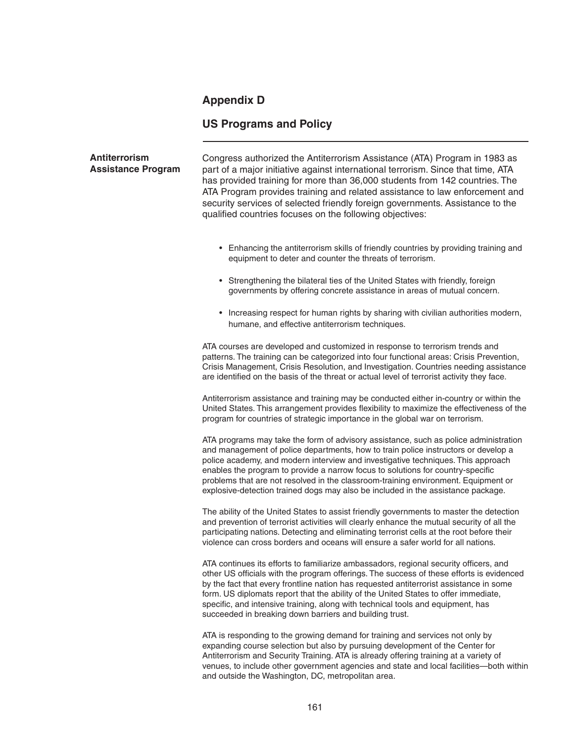# **Appendix D**

# **US Programs and Policy**

### **Antiterrorism Assistance Program**

Congress authorized the Antiterrorism Assistance (ATA) Program in 1983 as part of a major initiative against international terrorism. Since that time, ATA has provided training for more than 36,000 students from 142 countries. The ATA Program provides training and related assistance to law enforcement and security services of selected friendly foreign governments. Assistance to the qualified countries focuses on the following objectives:

- Enhancing the antiterrorism skills of friendly countries by providing training and equipment to deter and counter the threats of terrorism.
- Strengthening the bilateral ties of the United States with friendly, foreign governments by offering concrete assistance in areas of mutual concern.
- Increasing respect for human rights by sharing with civilian authorities modern, humane, and effective antiterrorism techniques.

ATA courses are developed and customized in response to terrorism trends and patterns. The training can be categorized into four functional areas: Crisis Prevention, Crisis Management, Crisis Resolution, and Investigation. Countries needing assistance are identified on the basis of the threat or actual level of terrorist activity they face.

Antiterrorism assistance and training may be conducted either in-country or within the United States. This arrangement provides flexibility to maximize the effectiveness of the program for countries of strategic importance in the global war on terrorism.

ATA programs may take the form of advisory assistance, such as police administration and management of police departments, how to train police instructors or develop a police academy, and modern interview and investigative techniques. This approach enables the program to provide a narrow focus to solutions for country-specific problems that are not resolved in the classroom-training environment. Equipment or explosive-detection trained dogs may also be included in the assistance package.

The ability of the United States to assist friendly governments to master the detection and prevention of terrorist activities will clearly enhance the mutual security of all the participating nations. Detecting and eliminating terrorist cells at the root before their violence can cross borders and oceans will ensure a safer world for all nations.

ATA continues its efforts to familiarize ambassadors, regional security officers, and other US officials with the program offerings. The success of these efforts is evidenced by the fact that every frontline nation has requested antiterrorist assistance in some form. US diplomats report that the ability of the United States to offer immediate, specific, and intensive training, along with technical tools and equipment, has succeeded in breaking down barriers and building trust.

ATA is responding to the growing demand for training and services not only by expanding course selection but also by pursuing development of the Center for Antiterrorism and Security Training. ATA is already offering training at a variety of venues, to include other government agencies and state and local facilities—both within and outside the Washington, DC, metropolitan area.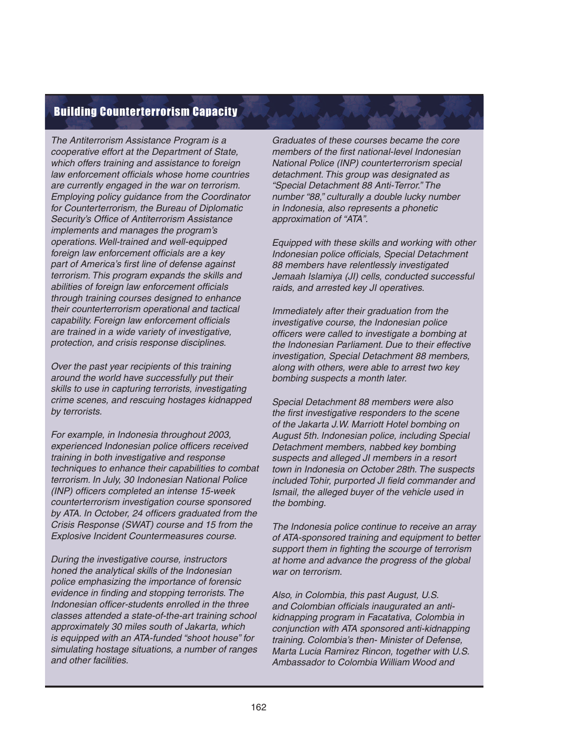# Building Counterterrorism Capacity

The Antiterrorism Assistance Program is a cooperative effort at the Department of State, which offers training and assistance to foreign law enforcement officials whose home countries are currently engaged in the war on terrorism. Employing policy guidance from the Coordinator for Counterterrorism, the Bureau of Diplomatic Security's Office of Antiterrorism Assistance implements and manages the program's operations. Well-trained and well-equipped foreign law enforcement officials are a key part of America's first line of defense against terrorism. This program expands the skills and abilities of foreign law enforcement officials through training courses designed to enhance their counterterrorism operational and tactical capability. Foreign law enforcement officials are trained in a wide variety of investigative, protection, and crisis response disciplines.

Over the past year recipients of this training around the world have successfully put their skills to use in capturing terrorists, investigating crime scenes, and rescuing hostages kidnapped by terrorists.

For example, in Indonesia throughout 2003, experienced Indonesian police officers received training in both investigative and response techniques to enhance their capabilities to combat terrorism. In July, 30 Indonesian National Police  $(INP)$  officers completed an intense 15-week counterterrorism investigation course sponsored by ATA. In October, 24 officers graduated from the Crisis Response (SWAT) course and 15 from the Explosive Incident Countermeasures course.

During the investigative course, instructors honed the analytical skills of the Indonesian police emphasizing the importance of forensic evidence in finding and stopping terrorists. The Indonesian officer-students enrolled in the three classes attended a state-of-the-art training school approximately 30 miles south of Jakarta, which is equipped with an ATA-funded "shoot house" for simulating hostage situations, a number of ranges and other facilities.

Graduates of these courses became the core members of the first national-level Indonesian National Police (INP) counterterrorism special detachment. This group was designated as "Special Detachment 88 Anti-Terror." The number "88," culturally a double lucky number in Indonesia, also represents a phonetic approximation of "ATA".

Equipped with these skills and working with other Indonesian police officials, Special Detachment 88 members have relentlessly investigated Jemaah Islamiya (JI) cells, conducted successful raids, and arrested key JI operatives.

Immediately after their graduation from the investigative course, the Indonesian police officers were called to investigate a bombing at the Indonesian Parliament. Due to their effective investigation, Special Detachment 88 members, along with others, were able to arrest two key bombing suspects a month later.

Special Detachment 88 members were also the first investigative responders to the scene of the Jakarta J.W. Marriott Hotel bombing on August 5th. Indonesian police, including Special Detachment members, nabbed key bombing suspects and alleged JI members in a resort town in Indonesia on October 28th. The suspects included Tohir, purported JI field commander and Ismail, the alleged buyer of the vehicle used in the bombing.

The Indonesia police continue to receive an array of ATA-sponsored training and equipment to better support them in fighting the scourge of terrorism at home and advance the progress of the global war on terrorism.

Also, in Colombia, this past August, U.S. and Colombian officials inaugurated an antikidnapping program in Facatativa, Colombia in conjunction with ATA sponsored anti-kidnapping training. Colombia's then- Minister of Defense, Marta Lucia Ramirez Rincon, together with U.S. Ambassador to Colombia William Wood and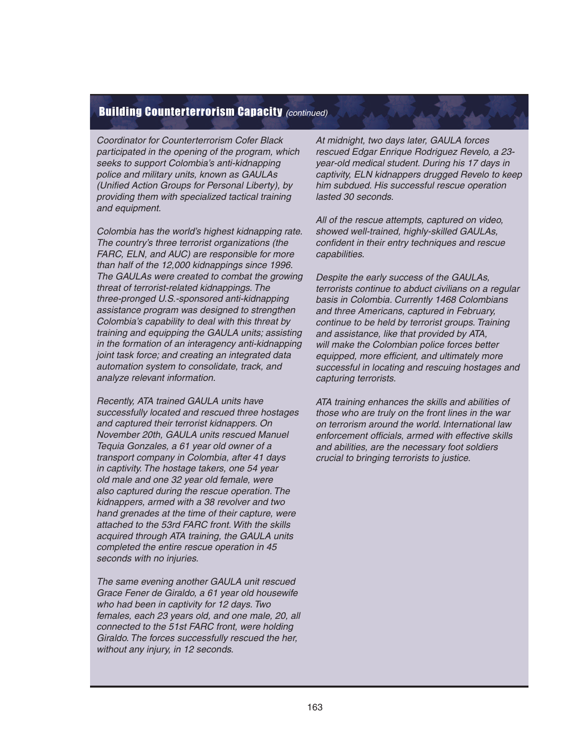# **Building Counterterrorism Capacity (continued)**

Coordinator for Counterterrorism Cofer Black participated in the opening of the program, which seeks to support Colombia's anti-kidnapping police and military units, known as GAULAs (Unified Action Groups for Personal Liberty), by providing them with specialized tactical training and equipment.

Colombia has the world's highest kidnapping rate. The country's three terrorist organizations (the FARC, ELN, and AUC) are responsible for more than half of the 12,000 kidnappings since 1996. The GAULAs were created to combat the growing threat of terrorist-related kidnappings. The three-pronged U.S.-sponsored anti-kidnapping assistance program was designed to strengthen Colombia's capability to deal with this threat by training and equipping the GAULA units; assisting in the formation of an interagency anti-kidnapping joint task force; and creating an integrated data automation system to consolidate, track, and analyze relevant information.

Recently, ATA trained GAULA units have successfully located and rescued three hostages and captured their terrorist kidnappers. On November 20th, GAULA units rescued Manuel Tequia Gonzales, a 61 year old owner of a transport company in Colombia, after 41 days in captivity. The hostage takers, one 54 year old male and one 32 year old female, were also captured during the rescue operation. The kidnappers, armed with a 38 revolver and two hand grenades at the time of their capture, were attached to the 53rd FARC front. With the skills acquired through ATA training, the GAULA units completed the entire rescue operation in 45 seconds with no injuries.

The same evening another GAULA unit rescued Grace Fener de Giraldo, a 61 year old housewife who had been in captivity for 12 days. Two females, each 23 years old, and one male, 20, all connected to the 51st FARC front, were holding Giraldo. The forces successfully rescued the her, without any injury, in 12 seconds.

At midnight, two days later, GAULA forces rescued Edgar Enrique Rodriguez Revelo, a 23 year-old medical student. During his 17 days in captivity, ELN kidnappers drugged Revelo to keep him subdued. His successful rescue operation lasted 30 seconds.

All of the rescue attempts, captured on video, showed well-trained, highly-skilled GAULAs, confident in their entry techniques and rescue capabilities.

Despite the early success of the GAULAs, terrorists continue to abduct civilians on a regular basis in Colombia. Currently 1468 Colombians and three Americans, captured in February, continue to be held by terrorist groups. Training and assistance, like that provided by ATA, will make the Colombian police forces better equipped, more efficient, and ultimately more successful in locating and rescuing hostages and capturing terrorists.

ATA training enhances the skills and abilities of those who are truly on the front lines in the war on terrorism around the world. International law enforcement officials, armed with effective skills and abilities, are the necessary foot soldiers crucial to bringing terrorists to justice.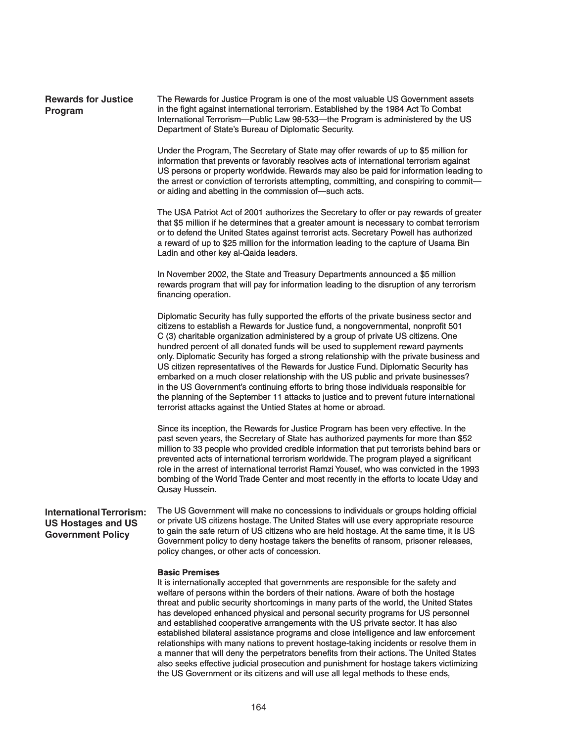| <b>Rewards for Justice</b><br>Program                                                    | The Rewards for Justice Program is one of the most valuable US Government assets<br>in the fight against international terrorism. Established by the 1984 Act To Combat<br>International Terrorism-Public Law 98-533-the Program is administered by the US<br>Department of State's Bureau of Diplomatic Security.                                                                                                                                                                                                                                                                                                                                                                                                                                                                                                                                                                                                          |
|------------------------------------------------------------------------------------------|-----------------------------------------------------------------------------------------------------------------------------------------------------------------------------------------------------------------------------------------------------------------------------------------------------------------------------------------------------------------------------------------------------------------------------------------------------------------------------------------------------------------------------------------------------------------------------------------------------------------------------------------------------------------------------------------------------------------------------------------------------------------------------------------------------------------------------------------------------------------------------------------------------------------------------|
|                                                                                          | Under the Program, The Secretary of State may offer rewards of up to \$5 million for<br>information that prevents or favorably resolves acts of international terrorism against<br>US persons or property worldwide. Rewards may also be paid for information leading to<br>the arrest or conviction of terrorists attempting, committing, and conspiring to commit—<br>or aiding and abetting in the commission of-such acts.                                                                                                                                                                                                                                                                                                                                                                                                                                                                                              |
|                                                                                          | The USA Patriot Act of 2001 authorizes the Secretary to offer or pay rewards of greater<br>that \$5 million if he determines that a greater amount is necessary to combat terrorism<br>or to defend the United States against terrorist acts. Secretary Powell has authorized<br>a reward of up to \$25 million for the information leading to the capture of Usama Bin<br>Ladin and other key al-Qaida leaders.                                                                                                                                                                                                                                                                                                                                                                                                                                                                                                            |
|                                                                                          | In November 2002, the State and Treasury Departments announced a \$5 million<br>rewards program that will pay for information leading to the disruption of any terrorism<br>financing operation.                                                                                                                                                                                                                                                                                                                                                                                                                                                                                                                                                                                                                                                                                                                            |
|                                                                                          | Diplomatic Security has fully supported the efforts of the private business sector and<br>citizens to establish a Rewards for Justice fund, a nongovernmental, nonprofit 501<br>C (3) charitable organization administered by a group of private US citizens. One<br>hundred percent of all donated funds will be used to supplement reward payments<br>only. Diplomatic Security has forged a strong relationship with the private business and<br>US citizen representatives of the Rewards for Justice Fund. Diplomatic Security has<br>embarked on a much closer relationship with the US public and private businesses?<br>in the US Government's continuing efforts to bring those individuals responsible for<br>the planning of the September 11 attacks to justice and to prevent future international<br>terrorist attacks against the Untied States at home or abroad.                                           |
|                                                                                          | Since its inception, the Rewards for Justice Program has been very effective. In the<br>past seven years, the Secretary of State has authorized payments for more than \$52<br>million to 33 people who provided credible information that put terrorists behind bars or<br>prevented acts of international terrorism worldwide. The program played a significant<br>role in the arrest of international terrorist Ramzi Yousef, who was convicted in the 1993<br>bombing of the World Trade Center and most recently in the efforts to locate Uday and<br>Qusay Hussein.                                                                                                                                                                                                                                                                                                                                                   |
| <b>International Terrorism:</b><br><b>US Hostages and US</b><br><b>Government Policy</b> | The US Government will make no concessions to individuals or groups holding official<br>or private US citizens hostage. The United States will use every appropriate resource<br>to gain the safe return of US citizens who are held hostage. At the same time, it is US<br>Government policy to deny hostage takers the benefits of ransom, prisoner releases,<br>policy changes, or other acts of concession.                                                                                                                                                                                                                                                                                                                                                                                                                                                                                                             |
|                                                                                          | <b>Basic Premises</b><br>It is internationally accepted that governments are responsible for the safety and<br>welfare of persons within the borders of their nations. Aware of both the hostage<br>threat and public security shortcomings in many parts of the world, the United States<br>has developed enhanced physical and personal security programs for US personnel<br>and established cooperative arrangements with the US private sector. It has also<br>established bilateral assistance programs and close intelligence and law enforcement<br>relationships with many nations to prevent hostage-taking incidents or resolve them in<br>a manner that will deny the perpetrators benefits from their actions. The United States<br>also seeks effective judicial prosecution and punishment for hostage takers victimizing<br>the US Government or its citizens and will use all legal methods to these ends, |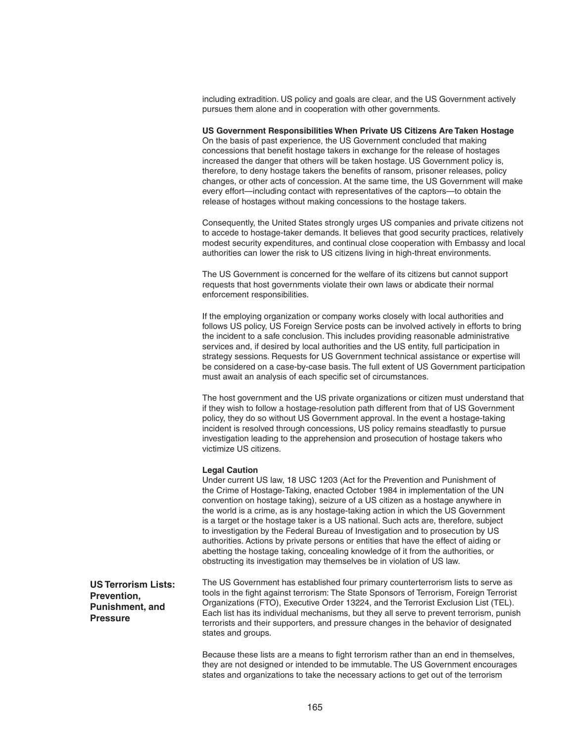including extradition. US policy and goals are clear, and the US Government actively pursues them alone and in cooperation with other governments.

#### **US Government Responsibilities When Private US Citizens Are Taken Hostage**

On the basis of past experience, the US Government concluded that making concessions that benefit hostage takers in exchange for the release of hostages increased the danger that others will be taken hostage. US Government policy is, therefore, to deny hostage takers the benefits of ransom, prisoner releases, policy changes, or other acts of concession. At the same time, the US Government will make every effort—including contact with representatives of the captors—to obtain the release of hostages without making concessions to the hostage takers.

Consequently, the United States strongly urges US companies and private citizens not to accede to hostage-taker demands. It believes that good security practices, relatively modest security expenditures, and continual close cooperation with Embassy and local authorities can lower the risk to US citizens living in high-threat environments.

The US Government is concerned for the welfare of its citizens but cannot support requests that host governments violate their own laws or abdicate their normal enforcement responsibilities.

If the employing organization or company works closely with local authorities and follows US policy, US Foreign Service posts can be involved actively in efforts to bring the incident to a safe conclusion. This includes providing reasonable administrative services and, if desired by local authorities and the US entity, full participation in strategy sessions. Requests for US Government technical assistance or expertise will be considered on a case-by-case basis. The full extent of US Government participation must await an analysis of each specific set of circumstances.

The host government and the US private organizations or citizen must understand that if they wish to follow a hostage-resolution path different from that of US Government policy, they do so without US Government approval. In the event a hostage-taking incident is resolved through concessions, US policy remains steadfastly to pursue investigation leading to the apprehension and prosecution of hostage takers who victimize US citizens.

#### **Legal Caution**

Under current US law, 18 USC 1203 (Act for the Prevention and Punishment of the Crime of Hostage-Taking, enacted October 1984 in implementation of the UN convention on hostage taking), seizure of a US citizen as a hostage anywhere in the world is a crime, as is any hostage-taking action in which the US Government is a target or the hostage taker is a US national. Such acts are, therefore, subject to investigation by the Federal Bureau of Investigation and to prosecution by US authorities. Actions by private persons or entities that have the effect of aiding or abetting the hostage taking, concealing knowledge of it from the authorities, or obstructing its investigation may themselves be in violation of US law.

The US Government has established four primary counterterrorism lists to serve as tools in the fight against terrorism: The State Sponsors of Terrorism, Foreign Terrorist Organizations (FTO), Executive Order 13224, and the Terrorist Exclusion List (TEL). Each list has its individual mechanisms, but they all serve to prevent terrorism, punish terrorists and their supporters, and pressure changes in the behavior of designated states and groups.

Because these lists are a means to fight terrorism rather than an end in themselves, they are not designed or intended to be immutable. The US Government encourages states and organizations to take the necessary actions to get out of the terrorism

**US Terrorism Lists: Prevention, Punishment, and Pressure**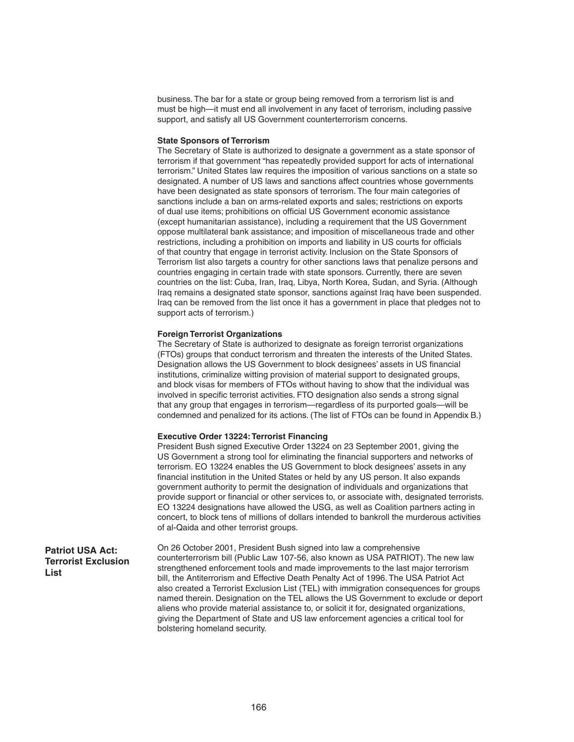business. The bar for a state or group being removed from a terrorism list is and must be high—it must end all involvement in any facet of terrorism, including passive support, and satisfy all US Government counterterrorism concerns.

### **State Sponsors of Terrorism**

The Secretary of State is authorized to designate a government as a state sponsor of terrorism if that government "has repeatedly provided support for acts of international terrorism." United States law requires the imposition of various sanctions on a state so designated. A number of US laws and sanctions affect countries whose governments have been designated as state sponsors of terrorism. The four main categories of sanctions include a ban on arms-related exports and sales; restrictions on exports of dual use items; prohibitions on official US Government economic assistance (except humanitarian assistance), including a requirement that the US Government oppose multilateral bank assistance; and imposition of miscellaneous trade and other restrictions, including a prohibition on imports and liability in US courts for officials of that country that engage in terrorist activity. Inclusion on the State Sponsors of Terrorism list also targets a country for other sanctions laws that penalize persons and countries engaging in certain trade with state sponsors. Currently, there are seven countries on the list: Cuba, Iran, Iraq, Libya, North Korea, Sudan, and Syria. (Although Iraq remains a designated state sponsor, sanctions against Iraq have been suspended. Iraq can be removed from the list once it has a government in place that pledges not to support acts of terrorism.)

## **Foreign Terrorist Organizations**

The Secretary of State is authorized to designate as foreign terrorist organizations (FTOs) groups that conduct terrorism and threaten the interests of the United States. Designation allows the US Government to block designees' assets in US financial institutions, criminalize witting provision of material support to designated groups, and block visas for members of FTOs without having to show that the individual was involved in specific terrorist activities. FTO designation also sends a strong signal that any group that engages in terrorism—regardless of its purported goals—will be condemned and penalized for its actions. (The list of FTOs can be found in Appendix B.)

#### **Executive Order 13224: Terrorist Financing**

President Bush signed Executive Order 13224 on 23 September 2001, giving the US Government a strong tool for eliminating the financial supporters and networks of terrorism. EO 13224 enables the US Government to block designees' assets in any financial institution in the United States or held by any US person. It also expands government authority to permit the designation of individuals and organizations that provide support or financial or other services to, or associate with, designated terrorists. EO 13224 designations have allowed the USG, as well as Coalition partners acting in concert, to block tens of millions of dollars intended to bankroll the murderous activities of al-Qaida and other terrorist groups.

**Patriot USA Act: Terrorist Exclusion List**

On 26 October 2001, President Bush signed into law a comprehensive counterterrorism bill (Public Law 107-56, also known as USA PATRIOT). The new law strengthened enforcement tools and made improvements to the last major terrorism bill, the Antiterrorism and Effective Death Penalty Act of 1996. The USA Patriot Act also created a Terrorist Exclusion List (TEL) with immigration consequences for groups named therein. Designation on the TEL allows the US Government to exclude or deport aliens who provide material assistance to, or solicit it for, designated organizations, giving the Department of State and US law enforcement agencies a critical tool for bolstering homeland security.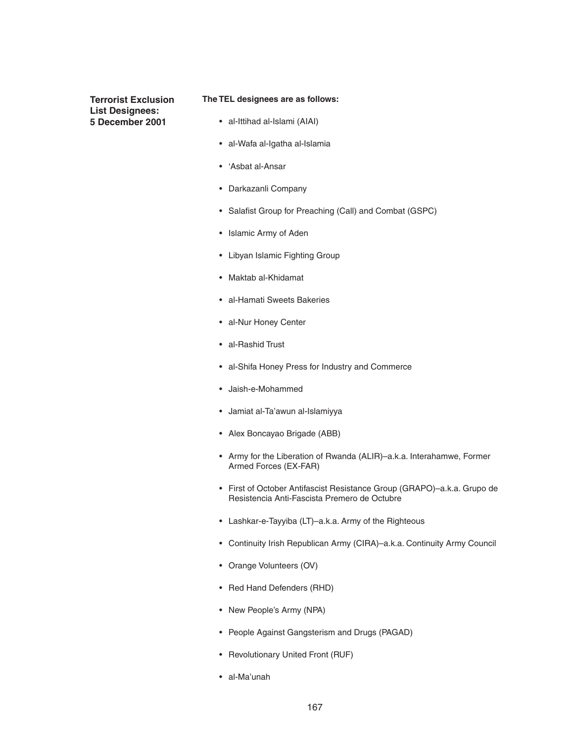**Terrorist Exclusion List Designees: 5 December 2001**

#### **The TEL designees are as follows:**

- al-Ittihad al-Islami (AIAI)
- al-Wafa al-Igatha al-Islamia
- 'Asbat al-Ansar
- Darkazanli Company
- Salafist Group for Preaching (Call) and Combat (GSPC)
- Islamic Army of Aden
- Libyan Islamic Fighting Group
- Maktab al-Khidamat
- al-Hamati Sweets Bakeries
- al-Nur Honey Center
- al-Rashid Trust
- al-Shifa Honey Press for Industry and Commerce
- Jaish-e-Mohammed
- Jamiat al-Ta'awun al-Islamiyya
- Alex Boncayao Brigade (ABB)
- Army for the Liberation of Rwanda (ALIR)–a.k.a. Interahamwe, Former Armed Forces (EX-FAR)
- First of October Antifascist Resistance Group (GRAPO)–a.k.a. Grupo de Resistencia Anti-Fascista Premero de Octubre
- Lashkar-e-Tayyiba (LT)–a.k.a. Army of the Righteous
- Continuity Irish Republican Army (CIRA)–a.k.a. Continuity Army Council
- Orange Volunteers (OV)
- Red Hand Defenders (RHD)
- New People's Army (NPA)
- People Against Gangsterism and Drugs (PAGAD)
- Revolutionary United Front (RUF)
- al-Ma'unah